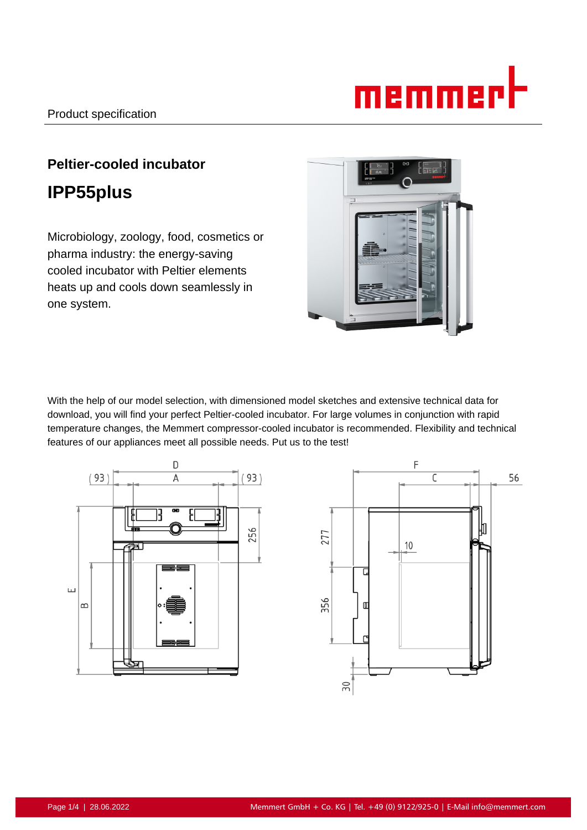# memmerl

# **Peltier-cooled incubator IPP55plus**

Microbiology, zoology, food, cosmetics or pharma industry: the energy-saving cooled incubator with Peltier elements heats up and cools down seamlessly in one system.



With the help of our model selection, with dimensioned model sketches and extensive technical data for download, you will find your perfect Peltier-cooled incubator. For large volumes in conjunction with rapid temperature changes, the Memmert compressor-cooled incubator is recommended. Flexibility and technical features of our appliances meet all possible needs. Put us to the test!



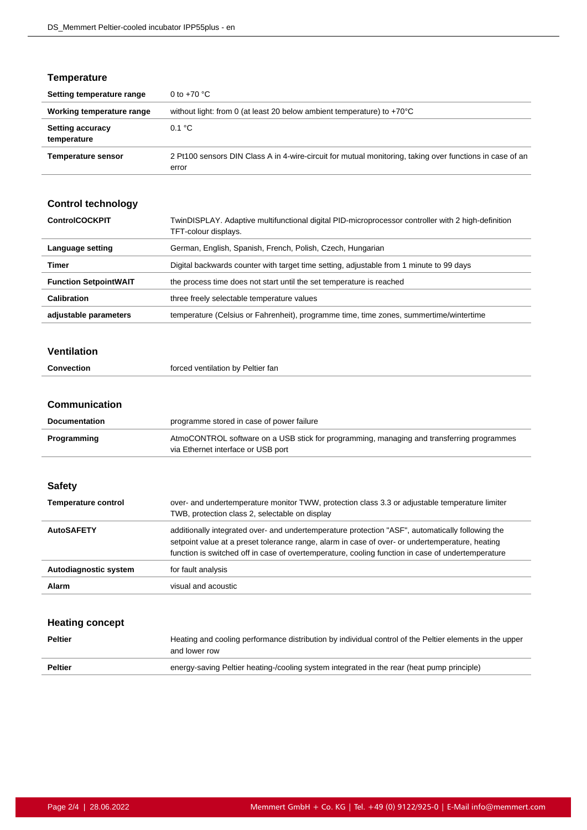#### **Temperature**

| Setting temperature range              | 0 to $+70$ °C                                                                                                     |
|----------------------------------------|-------------------------------------------------------------------------------------------------------------------|
| Working temperature range              | without light: from 0 (at least 20 below ambient temperature) to $+70^{\circ}$ C                                  |
| <b>Setting accuracy</b><br>temperature | 0.1 °C                                                                                                            |
| <b>Temperature sensor</b>              | 2 Pt100 sensors DIN Class A in 4-wire-circuit for mutual monitoring, taking over functions in case of an<br>error |

## **Control technology**

| <b>ControlCOCKPIT</b>        | TwinDISPLAY. Adaptive multifunctional digital PID-microprocessor controller with 2 high-definition<br>TFT-colour displays. |
|------------------------------|----------------------------------------------------------------------------------------------------------------------------|
| Language setting             | German, English, Spanish, French, Polish, Czech, Hungarian                                                                 |
| Timer                        | Digital backwards counter with target time setting, adjustable from 1 minute to 99 days                                    |
| <b>Function SetpointWAIT</b> | the process time does not start until the set temperature is reached                                                       |
| <b>Calibration</b>           | three freely selectable temperature values                                                                                 |
| adjustable parameters        | temperature (Celsius or Fahrenheit), programme time, time zones, summertime/wintertime                                     |

#### **Ventilation**

|  | Convection | forced ventilation by Peltier fan |
|--|------------|-----------------------------------|
|--|------------|-----------------------------------|

#### **Communication**

| <b>Documentation</b>       | programme stored in case of power failure                                                                                                        |
|----------------------------|--------------------------------------------------------------------------------------------------------------------------------------------------|
| Programming                | AtmoCONTROL software on a USB stick for programming, managing and transferring programmes<br>via Ethernet interface or USB port                  |
|                            |                                                                                                                                                  |
| <b>Safety</b>              |                                                                                                                                                  |
| <b>Temperature control</b> | over- and undertemperature monitor TWW, protection class 3.3 or adjustable temperature limiter<br>TWB, protection class 2, selectable on display |

| <b>AutoSAFETY</b>     | additionally integrated over- and undertemperature protection "ASF", automatically following the<br>setpoint value at a preset tolerance range, alarm in case of over- or undertemperature, heating<br>function is switched off in case of overtemperature, cooling function in case of undertemperature |
|-----------------------|----------------------------------------------------------------------------------------------------------------------------------------------------------------------------------------------------------------------------------------------------------------------------------------------------------|
| Autodiagnostic system | for fault analysis                                                                                                                                                                                                                                                                                       |
| Alarm                 | visual and acoustic                                                                                                                                                                                                                                                                                      |

#### **Heating concept**

| <b>Peltier</b> | Heating and cooling performance distribution by individual control of the Peltier elements in the upper<br>and lower row |
|----------------|--------------------------------------------------------------------------------------------------------------------------|
| <b>Peltier</b> | energy-saving Peltier heating-/cooling system integrated in the rear (heat pump principle)                               |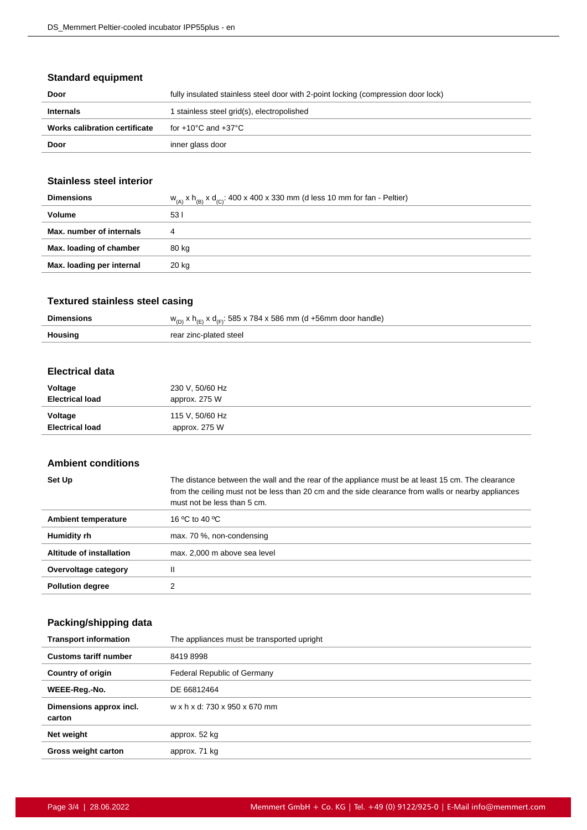#### **Standard equipment**

| Door                                 | fully insulated stainless steel door with 2-point locking (compression door lock) |
|--------------------------------------|-----------------------------------------------------------------------------------|
| <b>Internals</b>                     | 1 stainless steel grid(s), electropolished                                        |
| <b>Works calibration certificate</b> | for +10°C and +37°C                                                               |
| Door                                 | inner glass door                                                                  |

#### **Stainless steel interior**

| <b>Dimensions</b>         | $w_{(A)}$ x $h_{(B)}$ x $d_{(C)}$ : 400 x 400 x 330 mm (d less 10 mm for fan - Peltier) |
|---------------------------|-----------------------------------------------------------------------------------------|
| <b>Volume</b>             | 531                                                                                     |
| Max. number of internals  | 4                                                                                       |
| Max. loading of chamber   | 80 kg                                                                                   |
| Max. loading per internal | 20 kg                                                                                   |
|                           |                                                                                         |

#### **Textured stainless steel casing**

| <b>Dimensions</b> | $w_{(D)}$ x h <sub>(F)</sub> x d <sub>(F)</sub> : 585 x 784 x 586 mm (d +56mm door handle) |
|-------------------|--------------------------------------------------------------------------------------------|
| <b>Housing</b>    | rear zinc-plated steel                                                                     |

#### **Electrical data**

| Voltage                | 230 V, 50/60 Hz |
|------------------------|-----------------|
| <b>Electrical load</b> | approx. 275 W   |
| Voltage                | 115 V, 50/60 Hz |
| <b>Electrical load</b> | approx. 275 W   |

#### **Ambient conditions**

| Set Up                   | The distance between the wall and the rear of the appliance must be at least 15 cm. The clearance<br>from the ceiling must not be less than 20 cm and the side clearance from walls or nearby appliances<br>must not be less than 5 cm. |
|--------------------------|-----------------------------------------------------------------------------------------------------------------------------------------------------------------------------------------------------------------------------------------|
| Ambient temperature      | 16 °C to 40 °C                                                                                                                                                                                                                          |
| Humidity rh              | max. 70 %, non-condensing                                                                                                                                                                                                               |
| Altitude of installation | max. 2,000 m above sea level                                                                                                                                                                                                            |
| Overvoltage category     | Ш                                                                                                                                                                                                                                       |
| <b>Pollution degree</b>  | っ                                                                                                                                                                                                                                       |

## **Packing/shipping data**

| <b>Transport information</b>      | The appliances must be transported upright |
|-----------------------------------|--------------------------------------------|
| <b>Customs tariff number</b>      | 84198998                                   |
| <b>Country of origin</b>          | Federal Republic of Germany                |
| WEEE-Reg.-No.                     | DE 66812464                                |
| Dimensions approx incl.<br>carton | w x h x d: 730 x 950 x 670 mm              |
| Net weight                        | approx. 52 kg                              |
| <b>Gross weight carton</b>        | approx. 71 kg                              |